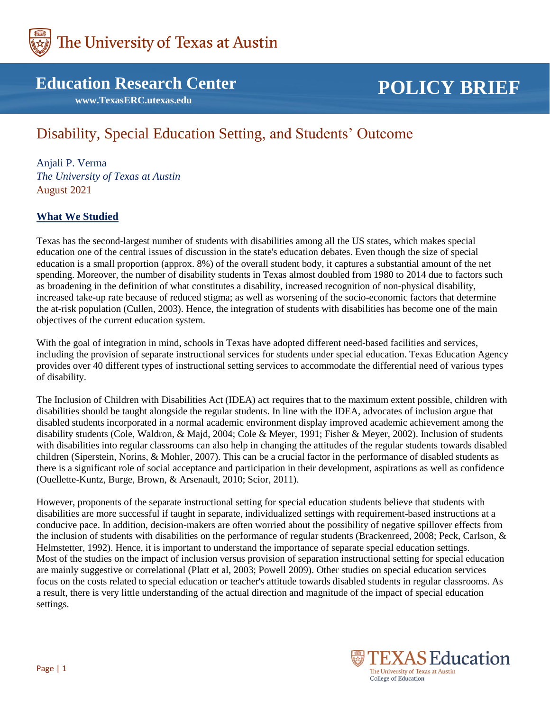

## **Education Research Center**

 **www.TexasERC.utexas.edu**

# **POLICY BRIEF**

# Disability, Special Education Setting, and Students' Outcome

Anjali P. Verma *The University of Texas at Austin* August 2021

## **What We Studied**

Texas has the second-largest number of students with disabilities among all the US states, which makes special education one of the central issues of discussion in the state's education debates. Even though the size of special education is a small proportion (approx. 8%) of the overall student body, it captures a substantial amount of the net spending. Moreover, the number of disability students in Texas almost doubled from 1980 to 2014 due to factors such as broadening in the definition of what constitutes a disability, increased recognition of non-physical disability, increased take-up rate because of reduced stigma; as well as worsening of the socio-economic factors that determine the at-risk population (Cullen, 2003). Hence, the integration of students with disabilities has become one of the main objectives of the current education system.

With the goal of integration in mind, schools in Texas have adopted different need-based facilities and services, including the provision of separate instructional services for students under special education. Texas Education Agency provides over 40 different types of instructional setting services to accommodate the differential need of various types of disability.

The Inclusion of Children with Disabilities Act (IDEA) act requires that to the maximum extent possible, children with disabilities should be taught alongside the regular students. In line with the IDEA, advocates of inclusion argue that disabled students incorporated in a normal academic environment display improved academic achievement among the disability students (Cole, Waldron, & Majd, 2004; Cole & Meyer, 1991; Fisher & Meyer, 2002). Inclusion of students with disabilities into regular classrooms can also help in changing the attitudes of the regular students towards disabled children (Siperstein, Norins, & Mohler, 2007). This can be a crucial factor in the performance of disabled students as there is a significant role of social acceptance and participation in their development, aspirations as well as confidence (Ouellette-Kuntz, Burge, Brown, & Arsenault, 2010; Scior, 2011).

However, proponents of the separate instructional setting for special education students believe that students with disabilities are more successful if taught in separate, individualized settings with requirement-based instructions at a conducive pace. In addition, decision-makers are often worried about the possibility of negative spillover effects from the inclusion of students with disabilities on the performance of regular students (Brackenreed, 2008; Peck, Carlson, & Helmstetter, 1992). Hence, it is important to understand the importance of separate special education settings. Most of the studies on the impact of inclusion versus provision of separation instructional setting for special education are mainly suggestive or correlational (Platt et al, 2003; Powell 2009). Other studies on special education services focus on the costs related to special education or teacher's attitude towards disabled students in regular classrooms. As a result, there is very little understanding of the actual direction and magnitude of the impact of special education settings.

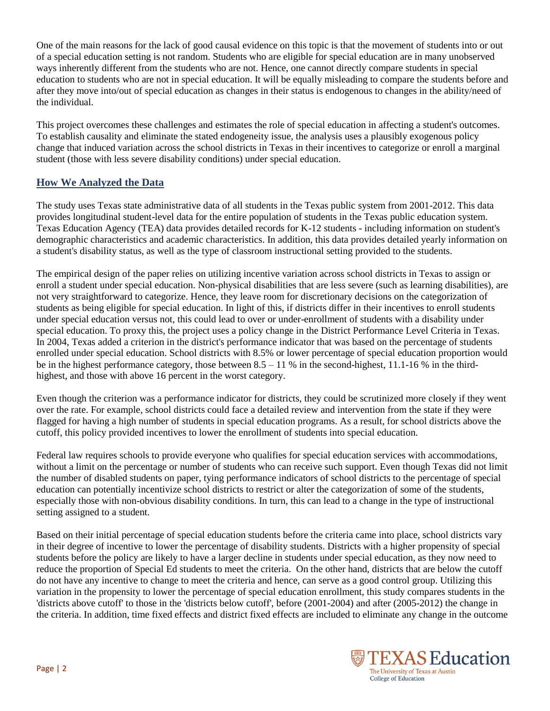One of the main reasons for the lack of good causal evidence on this topic is that the movement of students into or out of a special education setting is not random. Students who are eligible for special education are in many unobserved ways inherently different from the students who are not. Hence, one cannot directly compare students in special education to students who are not in special education. It will be equally misleading to compare the students before and after they move into/out of special education as changes in their status is endogenous to changes in the ability/need of the individual.

This project overcomes these challenges and estimates the role of special education in affecting a student's outcomes. To establish causality and eliminate the stated endogeneity issue, the analysis uses a plausibly exogenous policy change that induced variation across the school districts in Texas in their incentives to categorize or enroll a marginal student (those with less severe disability conditions) under special education.

## **How We Analyzed the Data**

The study uses Texas state administrative data of all students in the Texas public system from 2001-2012. This data provides longitudinal student-level data for the entire population of students in the Texas public education system. Texas Education Agency (TEA) data provides detailed records for K-12 students - including information on student's demographic characteristics and academic characteristics. In addition, this data provides detailed yearly information on a student's disability status, as well as the type of classroom instructional setting provided to the students.

The empirical design of the paper relies on utilizing incentive variation across school districts in Texas to assign or enroll a student under special education. Non-physical disabilities that are less severe (such as learning disabilities), are not very straightforward to categorize. Hence, they leave room for discretionary decisions on the categorization of students as being eligible for special education. In light of this, if districts differ in their incentives to enroll students under special education versus not, this could lead to over or under-enrollment of students with a disability under special education. To proxy this, the project uses a policy change in the District Performance Level Criteria in Texas. In 2004, Texas added a criterion in the district's performance indicator that was based on the percentage of students enrolled under special education. School districts with 8.5% or lower percentage of special education proportion would be in the highest performance category, those between  $8.5 - 11$  % in the second-highest, 11.1-16 % in the thirdhighest, and those with above 16 percent in the worst category.

Even though the criterion was a performance indicator for districts, they could be scrutinized more closely if they went over the rate. For example, school districts could face a detailed review and intervention from the state if they were flagged for having a high number of students in special education programs. As a result, for school districts above the cutoff, this policy provided incentives to lower the enrollment of students into special education.

Federal law requires schools to provide everyone who qualifies for special education services with accommodations, without a limit on the percentage or number of students who can receive such support. Even though Texas did not limit the number of disabled students on paper, tying performance indicators of school districts to the percentage of special education can potentially incentivize school districts to restrict or alter the categorization of some of the students, especially those with non-obvious disability conditions. In turn, this can lead to a change in the type of instructional setting assigned to a student.

Based on their initial percentage of special education students before the criteria came into place, school districts vary in their degree of incentive to lower the percentage of disability students. Districts with a higher propensity of special students before the policy are likely to have a larger decline in students under special education, as they now need to reduce the proportion of Special Ed students to meet the criteria. On the other hand, districts that are below the cutoff do not have any incentive to change to meet the criteria and hence, can serve as a good control group. Utilizing this variation in the propensity to lower the percentage of special education enrollment, this study compares students in the 'districts above cutoff' to those in the 'districts below cutoff', before (2001-2004) and after (2005-2012) the change in the criteria. In addition, time fixed effects and district fixed effects are included to eliminate any change in the outcome

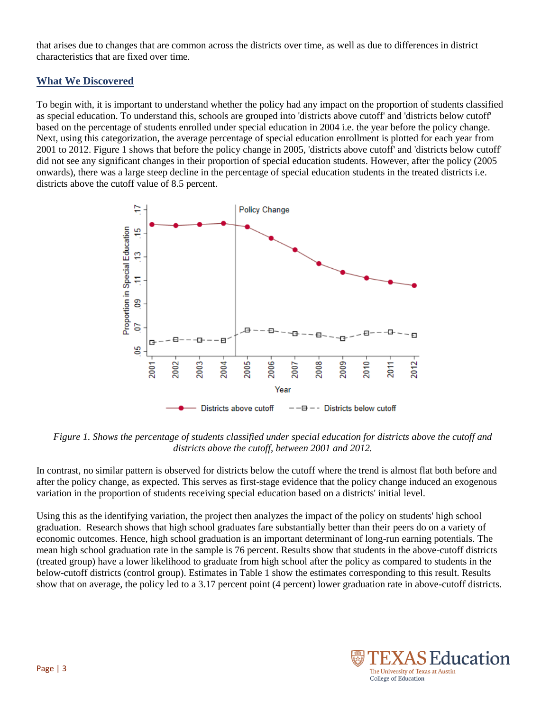that arises due to changes that are common across the districts over time, as well as due to differences in district characteristics that are fixed over time.

#### **What We Discovered**

To begin with, it is important to understand whether the policy had any impact on the proportion of students classified as special education. To understand this, schools are grouped into 'districts above cutoff' and 'districts below cutoff' based on the percentage of students enrolled under special education in 2004 i.e. the year before the policy change. Next, using this categorization, the average percentage of special education enrollment is plotted for each year from 2001 to 2012. Figure 1 shows that before the policy change in 2005, 'districts above cutoff' and 'districts below cutoff' did not see any significant changes in their proportion of special education students. However, after the policy (2005 onwards), there was a large steep decline in the percentage of special education students in the treated districts i.e. districts above the cutoff value of 8.5 percent.



*Figure 1. Shows the percentage of students classified under special education for districts above the cutoff and districts above the cutoff, between 2001 and 2012.* 

In contrast, no similar pattern is observed for districts below the cutoff where the trend is almost flat both before and after the policy change, as expected. This serves as first-stage evidence that the policy change induced an exogenous variation in the proportion of students receiving special education based on a districts' initial level.

Using this as the identifying variation, the project then analyzes the impact of the policy on students' high school graduation. Research shows that high school graduates fare substantially better than their peers do on a variety of economic outcomes. Hence, high school graduation is an important determinant of long-run earning potentials. The mean high school graduation rate in the sample is 76 percent. Results show that students in the above-cutoff districts (treated group) have a lower likelihood to graduate from high school after the policy as compared to students in the below-cutoff districts (control group). Estimates in Table 1 show the estimates corresponding to this result. Results show that on average, the policy led to a 3.17 percent point (4 percent) lower graduation rate in above-cutoff districts.

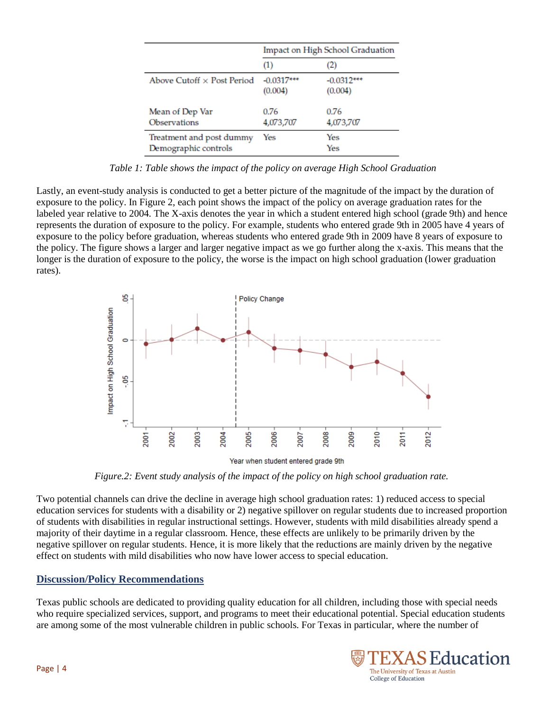|                                                  | Impact on High School Graduation |                         |
|--------------------------------------------------|----------------------------------|-------------------------|
|                                                  | (1)                              | $\omega$                |
| Above Cutoff $\times$ Post Period                | $-0.0317***$<br>(0.004)          | $-0.0312***$<br>(0.004) |
| Mean of Dep Var<br><b>Observations</b>           | 0.76<br>4,073,707                | 0.76<br>4,073,707       |
| Treatment and post dummy<br>Demographic controls | Yes                              | Yes<br>Yes              |

*Table 1: Table shows the impact of the policy on average High School Graduation*

Lastly, an event-study analysis is conducted to get a better picture of the magnitude of the impact by the duration of exposure to the policy. In Figure 2, each point shows the impact of the policy on average graduation rates for the labeled year relative to 2004. The X-axis denotes the year in which a student entered high school (grade 9th) and hence represents the duration of exposure to the policy. For example, students who entered grade 9th in 2005 have 4 years of exposure to the policy before graduation, whereas students who entered grade 9th in 2009 have 8 years of exposure to the policy. The figure shows a larger and larger negative impact as we go further along the x-axis. This means that the longer is the duration of exposure to the policy, the worse is the impact on high school graduation (lower graduation rates).



Year when student entered grade 9th

*Figure.2: Event study analysis of the impact of the policy on high school graduation rate.*

Two potential channels can drive the decline in average high school graduation rates: 1) reduced access to special education services for students with a disability or 2) negative spillover on regular students due to increased proportion of students with disabilities in regular instructional settings. However, students with mild disabilities already spend a majority of their daytime in a regular classroom. Hence, these effects are unlikely to be primarily driven by the negative spillover on regular students. Hence, it is more likely that the reductions are mainly driven by the negative effect on students with mild disabilities who now have lower access to special education.

#### **Discussion/Policy Recommendations**

Texas public schools are dedicated to providing quality education for all children, including those with special needs who require specialized services, support, and programs to meet their educational potential. Special education students are among some of the most vulnerable children in public schools. For Texas in particular, where the number of